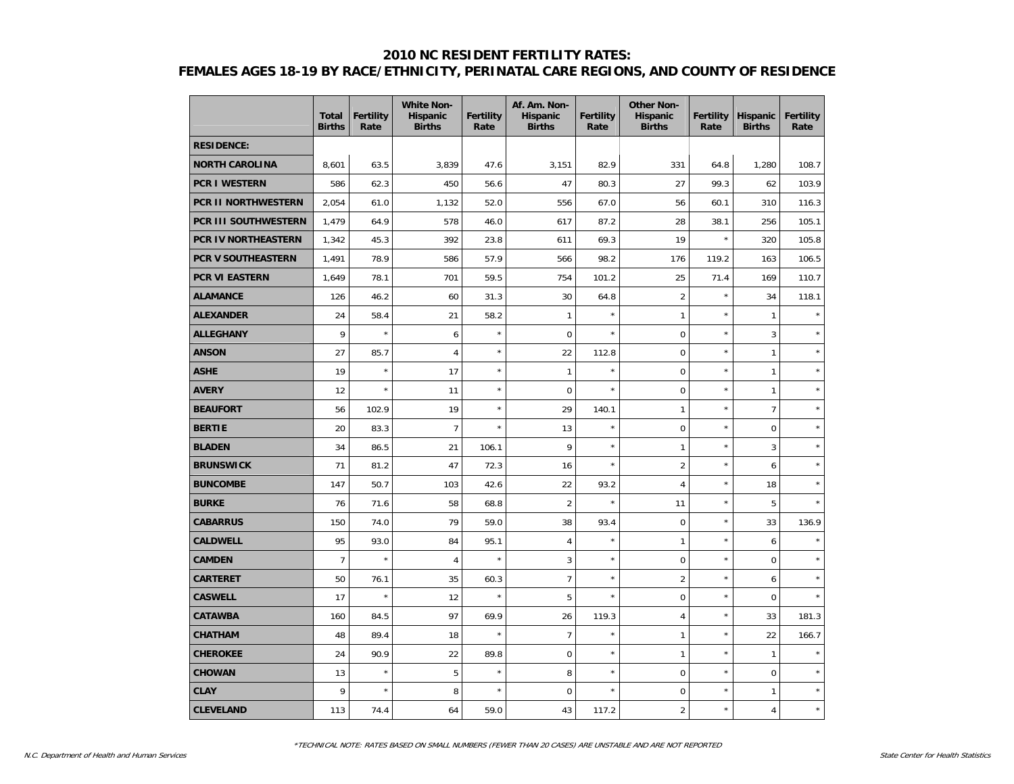#### **2010 NC RESIDENT FERTILITY RATES:**

# **FEMALES AGES 18-19 BY RACE/ETHNICITY, PERINATAL CARE REGIONS, AND COUNTY OF RESIDENCE**

|                       | <b>Total</b><br><b>Births</b> | <b>Fertility</b><br>Rate | <b>White Non-</b><br><b>Hispanic</b><br><b>Births</b> | <b>Fertility</b><br>Rate | Af. Am. Non-<br>Hispanic<br><b>Births</b> | <b>Fertility</b><br>Rate | <b>Other Non-</b><br><b>Hispanic</b><br><b>Births</b> | <b>Fertility</b><br>Rate | <b>Hispanic</b><br><b>Births</b> | <b>Fertility</b><br>Rate |
|-----------------------|-------------------------------|--------------------------|-------------------------------------------------------|--------------------------|-------------------------------------------|--------------------------|-------------------------------------------------------|--------------------------|----------------------------------|--------------------------|
| <b>RESIDENCE:</b>     |                               |                          |                                                       |                          |                                           |                          |                                                       |                          |                                  |                          |
| <b>NORTH CAROLINA</b> | 8,601                         | 63.5                     | 3,839                                                 | 47.6                     | 3,151                                     | 82.9                     | 331                                                   | 64.8                     | 1,280                            | 108.7                    |
| <b>PCR I WESTERN</b>  | 586                           | 62.3                     | 450                                                   | 56.6                     | 47                                        | 80.3                     | 27                                                    | 99.3                     | 62                               | 103.9                    |
| PCR II NORTHWESTERN   | 2,054                         | 61.0                     | 1,132                                                 | 52.0                     | 556                                       | 67.0                     | 56                                                    | 60.1                     | 310                              | 116.3                    |
| PCR III SOUTHWESTERN  | 1,479                         | 64.9                     | 578                                                   | 46.0                     | 617                                       | 87.2                     | 28                                                    | 38.1                     | 256                              | 105.1                    |
| PCR IV NORTHEASTERN   | 1,342                         | 45.3                     | 392                                                   | 23.8                     | 611                                       | 69.3                     | 19                                                    | $\star$                  | 320                              | 105.8                    |
| PCR V SOUTHEASTERN    | 1,491                         | 78.9                     | 586                                                   | 57.9                     | 566                                       | 98.2                     | 176                                                   | 119.2                    | 163                              | 106.5                    |
| PCR VI EASTERN        | 1,649                         | 78.1                     | 701                                                   | 59.5                     | 754                                       | 101.2                    | 25                                                    | 71.4                     | 169                              | 110.7                    |
| <b>ALAMANCE</b>       | 126                           | 46.2                     | 60                                                    | 31.3                     | 30                                        | 64.8                     | $\overline{2}$                                        | $\star$                  | 34                               | 118.1                    |
| <b>ALEXANDER</b>      | 24                            | 58.4                     | 21                                                    | 58.2                     | $\mathbf{1}$                              | $\star$                  | $\mathbf{1}$                                          | $\star$                  | 1                                |                          |
| <b>ALLEGHANY</b>      | 9                             | $\star$                  | $\boldsymbol{6}$                                      | $\star$                  | $\mathbf 0$                               | $\star$                  | $\mathbf 0$                                           | $\star$                  | 3                                |                          |
| <b>ANSON</b>          | 27                            | 85.7                     | $\overline{\mathbf{4}}$                               | $\star$                  | 22                                        | 112.8                    | $\mathbf 0$                                           | $\star$                  | 1                                | $\star$                  |
| <b>ASHE</b>           | 19                            | $\star$                  | 17                                                    | $\star$                  | $\mathbf{1}$                              | $\star$                  | $\overline{0}$                                        | $\star$                  | 1                                | $\star$                  |
| <b>AVERY</b>          | 12                            | $\star$                  | 11                                                    | $\star$                  | $\boldsymbol{0}$                          | $\star$                  | $\mathbf 0$                                           | $\star$                  | 1                                | $\star$                  |
| <b>BEAUFORT</b>       | 56                            | 102.9                    | 19                                                    | $\star$                  | 29                                        | 140.1                    | $\mathbf{1}$                                          | $\star$                  | $\overline{7}$                   |                          |
| <b>BERTIE</b>         | 20                            | 83.3                     | $\overline{7}$                                        | $\star$                  | 13                                        | $\star$                  | 0                                                     | $\star$                  | $\overline{0}$                   | $\star$                  |
| <b>BLADEN</b>         | 34                            | 86.5                     | 21                                                    | 106.1                    | 9                                         | $\star$                  | $\mathbf{1}$                                          | $\star$                  | 3                                |                          |
| <b>BRUNSWICK</b>      | 71                            | 81.2                     | 47                                                    | 72.3                     | 16                                        | $\star$                  | $\overline{2}$                                        | $\star$                  | 6                                |                          |
| <b>BUNCOMBE</b>       | 147                           | 50.7                     | 103                                                   | 42.6                     | 22                                        | 93.2                     | $\overline{4}$                                        | $\star$                  | 18                               |                          |
| <b>BURKE</b>          | 76                            | 71.6                     | 58                                                    | 68.8                     | $\overline{2}$                            |                          | 11                                                    | $\star$                  | 5                                |                          |
| <b>CABARRUS</b>       | 150                           | 74.0                     | 79                                                    | 59.0                     | 38                                        | 93.4                     | 0                                                     | $\star$                  | 33                               | 136.9                    |
| <b>CALDWELL</b>       | 95                            | 93.0                     | 84                                                    | 95.1                     | $\overline{4}$                            | $\star$                  | $\mathbf{1}$                                          | $\star$                  | 6                                |                          |
| <b>CAMDEN</b>         | $\overline{7}$                | $\star$                  | $\sqrt{4}$                                            | $\star$                  | 3                                         | $\star$                  | 0                                                     | $\star$                  | $\mathbf 0$                      | $\star$                  |
| <b>CARTERET</b>       | 50                            | 76.1                     | 35                                                    | 60.3                     | $\overline{7}$                            | $\star$                  | $\overline{2}$                                        | $\star$                  | 6                                | $\star$                  |
| <b>CASWELL</b>        | 17                            | $\star$                  | 12                                                    | $\star$                  | 5                                         | $\star$                  | 0                                                     | $\star$                  | $\overline{0}$                   | $\star$                  |
| <b>CATAWBA</b>        | 160                           | 84.5                     | 97                                                    | 69.9                     | 26                                        | 119.3                    | $\overline{4}$                                        | $\star$                  | 33                               | 181.3                    |
| <b>CHATHAM</b>        | 48                            | 89.4                     | 18                                                    | $\star$                  | $\overline{7}$                            | $\star$                  | $\mathbf{1}$                                          | $\star$                  | 22                               | 166.7                    |
| <b>CHEROKEE</b>       | 24                            | 90.9                     | 22                                                    | 89.8                     | $\boldsymbol{0}$                          | $\star$                  | $\mathbf{1}$                                          | $\star$                  | $\mathbf{1}$                     |                          |
| <b>CHOWAN</b>         | 13                            | $\star$                  | 5                                                     | $\star$                  | 8                                         | $\star$                  | 0                                                     | $\star$                  | $\mathbf 0$                      | $\star$                  |
| <b>CLAY</b>           | 9                             | $\star$                  | 8                                                     | $\star$                  | $\mathbf 0$                               | $\star$                  | 0                                                     | $\star$                  | 1                                | $\star$                  |
| <b>CLEVELAND</b>      | 113                           | 74.4                     | 64                                                    | 59.0                     | 43                                        | 117.2                    | $\overline{2}$                                        | $\star$                  | 4                                | $\star$                  |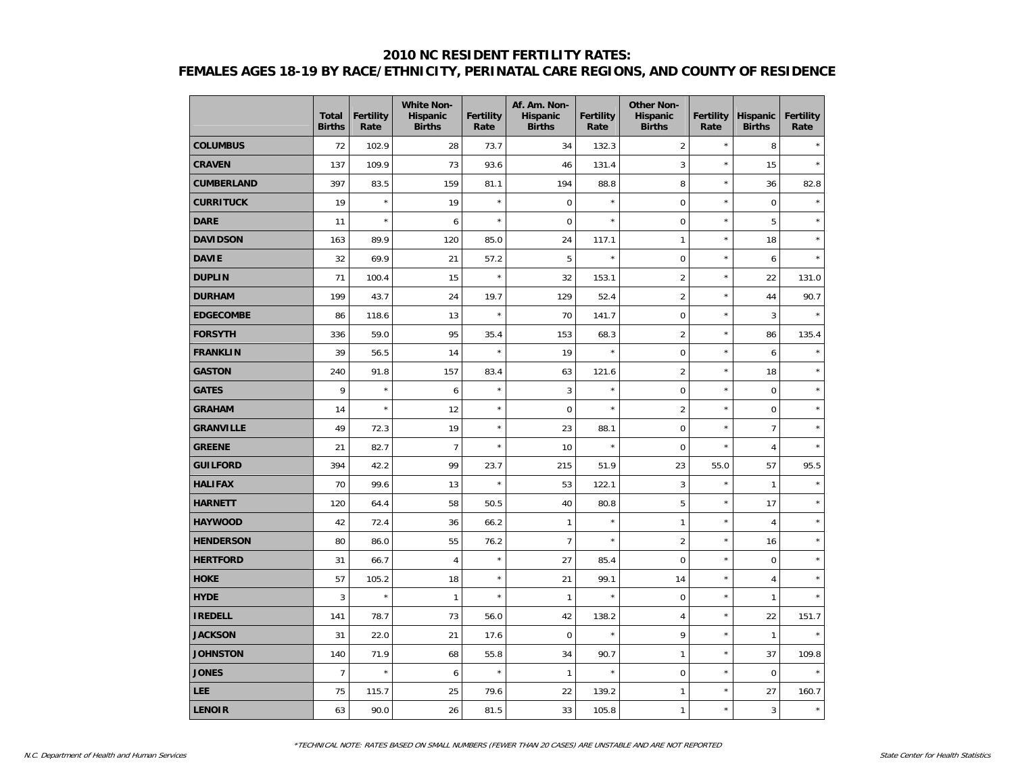## **2010 NC RESIDENT FERTILITY RATES: FEMALES AGES 18-19 BY RACE/ETHNICITY, PERINATAL CARE REGIONS, AND COUNTY OF RESIDENCE**

|                   | <b>Total</b><br><b>Births</b> | <b>Fertility</b><br>Rate | <b>White Non-</b><br><b>Hispanic</b><br><b>Births</b> | Fertility<br>Rate | Af. Am. Non-<br><b>Hispanic</b><br><b>Births</b> | <b>Fertility</b><br>Rate | <b>Other Non-</b><br><b>Hispanic</b><br><b>Births</b> | <b>Fertility</b><br>Rate | <b>Hispanic</b><br><b>Births</b> | <b>Fertility</b><br>Rate |
|-------------------|-------------------------------|--------------------------|-------------------------------------------------------|-------------------|--------------------------------------------------|--------------------------|-------------------------------------------------------|--------------------------|----------------------------------|--------------------------|
| <b>COLUMBUS</b>   | 72                            | 102.9                    | 28                                                    | 73.7              | 34                                               | 132.3                    | $\overline{2}$                                        | $\star$                  | 8                                |                          |
| <b>CRAVEN</b>     | 137                           | 109.9                    | 73                                                    | 93.6              | 46                                               | 131.4                    | 3                                                     | $\star$                  | 15                               | $\star$                  |
| <b>CUMBERLAND</b> | 397                           | 83.5                     | 159                                                   | 81.1              | 194                                              | 88.8                     | 8                                                     | $\star$                  | 36                               | 82.8                     |
| <b>CURRITUCK</b>  | 19                            | $\star$                  | 19                                                    | $\star$           | $\mathbf 0$                                      | $\star$                  | $\mathbf 0$                                           | $\star$                  | $\mathsf 0$                      | $\star$                  |
| <b>DARE</b>       | 11                            | $\star$                  | 6                                                     | $\star$           | $\mathbf 0$                                      | $\star$                  | $\mathbf 0$                                           | $\star$                  | 5                                |                          |
| <b>DAVIDSON</b>   | 163                           | 89.9                     | 120                                                   | 85.0              | 24                                               | 117.1                    | $\mathbf{1}$                                          | $\star$                  | 18                               | $\star$                  |
| <b>DAVIE</b>      | 32                            | 69.9                     | 21                                                    | 57.2              | 5                                                | $\star$                  | $\mathbf 0$                                           | $\star$                  | 6                                | $\star$                  |
| <b>DUPLIN</b>     | 71                            | 100.4                    | 15                                                    | $\star$           | 32                                               | 153.1                    | $\overline{c}$                                        | $\star$                  | 22                               | 131.0                    |
| <b>DURHAM</b>     | 199                           | 43.7                     | 24                                                    | 19.7              | 129                                              | 52.4                     | $\overline{2}$                                        | $\star$                  | 44                               | 90.7                     |
| <b>EDGECOMBE</b>  | 86                            | 118.6                    | 13                                                    | $\star$           | 70                                               | 141.7                    | $\mathbf 0$                                           | $\star$                  | 3                                |                          |
| <b>FORSYTH</b>    | 336                           | 59.0                     | 95                                                    | 35.4              | 153                                              | 68.3                     | $\overline{2}$                                        | $\star$                  | 86                               | 135.4                    |
| <b>FRANKLIN</b>   | 39                            | 56.5                     | 14                                                    | $\star$           | 19                                               | $\star$                  | $\mathsf 0$                                           | $\star$                  | $\boldsymbol{6}$                 |                          |
| <b>GASTON</b>     | 240                           | 91.8                     | 157                                                   | 83.4              | 63                                               | 121.6                    | $\overline{2}$                                        | $\star$                  | 18                               |                          |
| <b>GATES</b>      | 9                             | $\star$                  | 6                                                     | $\star$           | 3                                                | $\star$                  | $\mathbf 0$                                           | $\star$                  | $\mathbf 0$                      | $\star$                  |
| <b>GRAHAM</b>     | 14                            | $\star$                  | 12                                                    | $\star$           | $\pmb{0}$                                        | $\star$                  | $\overline{2}$                                        | $\star$                  | $\pmb{0}$                        | $\star$                  |
| <b>GRANVILLE</b>  | 49                            | 72.3                     | 19                                                    | $\star$           | 23                                               | 88.1                     | $\mathbf 0$                                           | $\star$                  | $\overline{7}$                   | $\star$                  |
| <b>GREENE</b>     | 21                            | 82.7                     | $\overline{7}$                                        | $\star$           | 10                                               | $\star$                  | $\mathsf{O}\xspace$                                   | $\star$                  | $\overline{4}$                   | $\lambda$                |
| <b>GUILFORD</b>   | 394                           | 42.2                     | 99                                                    | 23.7              | 215                                              | 51.9                     | 23                                                    | 55.0                     | 57                               | 95.5                     |
| <b>HALIFAX</b>    | 70                            | 99.6                     | 13                                                    | $\star$           | 53                                               | 122.1                    | 3                                                     | $\star$                  | $\mathbf{1}$                     | $\star$                  |
| <b>HARNETT</b>    | 120                           | 64.4                     | 58                                                    | 50.5              | 40                                               | 80.8                     | 5                                                     | $\star$                  | 17                               | $\star$                  |
| <b>HAYWOOD</b>    | 42                            | 72.4                     | 36                                                    | 66.2              | $\mathbf{1}$                                     | $\star$                  | $\mathbf{1}$                                          | $\star$                  | $\overline{4}$                   | $\star$                  |
| <b>HENDERSON</b>  | 80                            | 86.0                     | 55                                                    | 76.2              | $\overline{7}$                                   | $\star$                  | $\overline{2}$                                        | $\star$                  | 16                               | $\star$                  |
| <b>HERTFORD</b>   | 31                            | 66.7                     | $\overline{4}$                                        | $\star$           | 27                                               | 85.4                     | $\mathsf 0$                                           | $\star$                  | $\mathbf 0$                      | $\star$                  |
| <b>HOKE</b>       | 57                            | 105.2                    | 18                                                    | $\star$           | 21                                               | 99.1                     | 14                                                    | $\star$                  | $\overline{4}$                   | $\star$                  |
| <b>HYDE</b>       | 3                             | $\star$                  | $\mathbf{1}$                                          | $\star$           | $\mathbf{1}$                                     | $\star$                  | $\mathbf 0$                                           | $\star$                  | $\mathbf{1}$                     |                          |
| <b>IREDELL</b>    | 141                           | 78.7                     | 73                                                    | 56.0              | 42                                               | 138.2                    | $\overline{4}$                                        | $\star$                  | 22                               | 151.7                    |
| <b>JACKSON</b>    | 31                            | 22.0                     | 21                                                    | 17.6              | $\pmb{0}$                                        | $\star$                  | 9                                                     | $\star$                  | $\mathbf{1}$                     | $\star$                  |
| <b>JOHNSTON</b>   | 140                           | 71.9                     | 68                                                    | 55.8              | 34                                               | 90.7                     | $\mathbf{1}$                                          | $\star$                  | 37                               | 109.8                    |
| <b>JONES</b>      | $\overline{7}$                | $\star$                  | 6                                                     | $\star$           | $\mathbf{1}$                                     |                          | $\mathbf 0$                                           | $\star$                  | $\mathbf 0$                      |                          |
| <b>LEE</b>        | 75                            | 115.7                    | 25                                                    | 79.6              | 22                                               | 139.2                    | $\mathbf{1}$                                          | $\star$                  | 27                               | 160.7                    |
| <b>LENOIR</b>     | 63                            | 90.0                     | 26                                                    | 81.5              | 33                                               | 105.8                    | $\mathbf{1}$                                          | $\star$                  | $\sqrt{3}$                       | $\star$                  |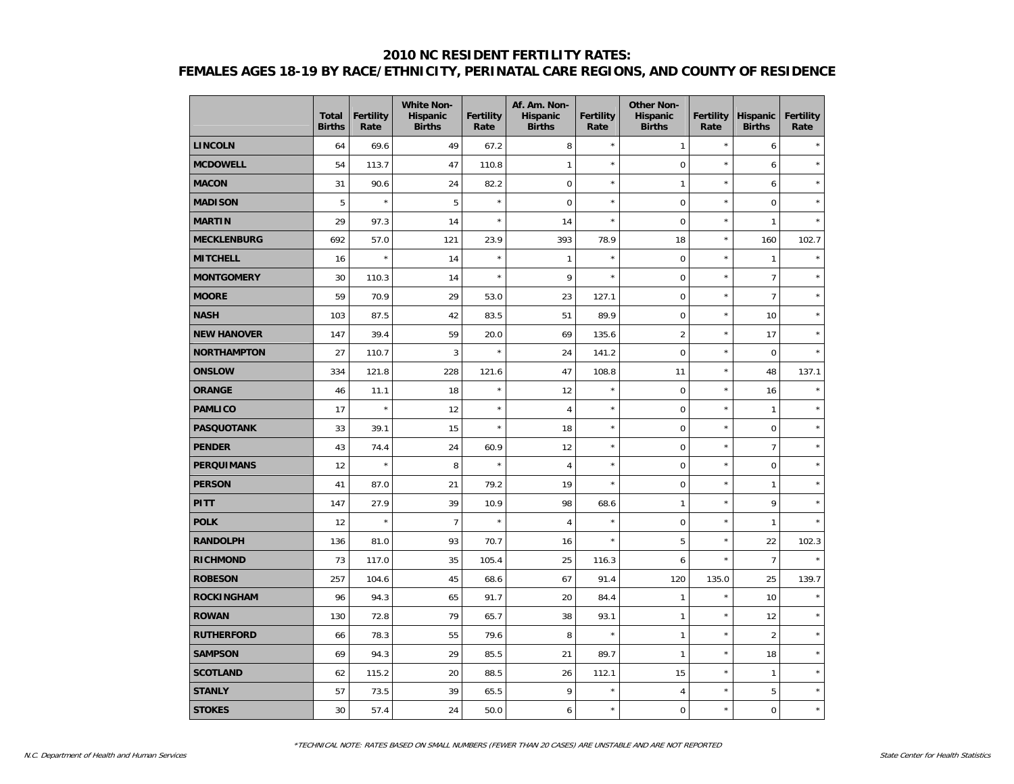## **2010 NC RESIDENT FERTILITY RATES: FEMALES AGES 18-19 BY RACE/ETHNICITY, PERINATAL CARE REGIONS, AND COUNTY OF RESIDENCE**

|                    | <b>Total</b><br><b>Births</b> | <b>Fertility</b><br>Rate | <b>White Non-</b><br>Hispanic<br><b>Births</b> | Fertility<br>Rate | Af. Am. Non-<br><b>Hispanic</b><br><b>Births</b> | Fertility<br>Rate | <b>Other Non-</b><br>Hispanic<br><b>Births</b> | <b>Fertility</b><br>Rate | Hispanic<br><b>Births</b> | <b>Fertility</b><br>Rate |
|--------------------|-------------------------------|--------------------------|------------------------------------------------|-------------------|--------------------------------------------------|-------------------|------------------------------------------------|--------------------------|---------------------------|--------------------------|
| <b>LINCOLN</b>     | 64                            | 69.6                     | 49                                             | 67.2              | 8                                                | $\star$           | $\mathbf{1}$                                   | $\star$                  | 6                         |                          |
| <b>MCDOWELL</b>    | 54                            | 113.7                    | 47                                             | 110.8             | $\mathbf{1}$                                     | $\star$           | $\mathbf 0$                                    | $\star$                  | 6                         | $\star$                  |
| <b>MACON</b>       | 31                            | 90.6                     | 24                                             | 82.2              | $\boldsymbol{0}$                                 | $\star$           | $\mathbf{1}$                                   | $\star$                  | $\boldsymbol{6}$          | $\star$                  |
| <b>MADISON</b>     | 5                             | $\star$                  | 5                                              | $\star$           | $\mathbf 0$                                      | $\star$           | $\mathbf 0$                                    | $\star$                  | $\mathsf 0$               | $\star$                  |
| <b>MARTIN</b>      | 29                            | 97.3                     | 14                                             | $\star$           | 14                                               | $\star$           | $\mathbf 0$                                    | $\star$                  | $\mathbf{1}$              |                          |
| <b>MECKLENBURG</b> | 692                           | 57.0                     | 121                                            | 23.9              | 393                                              | 78.9              | 18                                             | $\star$                  | 160                       | 102.7                    |
| <b>MITCHELL</b>    | 16                            | $\star$                  | 14                                             | $\star$           | $\mathbf{1}$                                     | $\star$           | $\mathbf 0$                                    | $\star$                  | $\mathbf{1}$              | $\star$                  |
| <b>MONTGOMERY</b>  | 30                            | 110.3                    | 14                                             | $\star$           | 9                                                | $\star$           | $\pmb{0}$                                      | $\star$                  | $\overline{7}$            | $\star$                  |
| <b>MOORE</b>       | 59                            | 70.9                     | 29                                             | 53.0              | 23                                               | 127.1             | $\mathsf 0$                                    | $\star$                  | $\overline{7}$            | $\star$                  |
| <b>NASH</b>        | 103                           | 87.5                     | 42                                             | 83.5              | 51                                               | 89.9              | $\mathbf 0$                                    | $\star$                  | 10                        | $\star$                  |
| <b>NEW HANOVER</b> | 147                           | 39.4                     | 59                                             | 20.0              | 69                                               | 135.6             | $\overline{2}$                                 | $\star$                  | 17                        | $\star$                  |
| <b>NORTHAMPTON</b> | 27                            | 110.7                    | 3                                              | $\star$           | 24                                               | 141.2             | $\pmb{0}$                                      | $\star$                  | $\pmb{0}$                 |                          |
| <b>ONSLOW</b>      | 334                           | 121.8                    | 228                                            | 121.6             | 47                                               | 108.8             | 11                                             | $\star$                  | 48                        | 137.1                    |
| <b>ORANGE</b>      | 46                            | 11.1                     | 18                                             | $\star$           | 12                                               | $\star$           | $\mathbf 0$                                    | $\star$                  | 16                        |                          |
| <b>PAMLICO</b>     | 17                            | $\star$                  | 12                                             | $\star$           | $\overline{4}$                                   | $\star$           | $\mathbf 0$                                    | $\star$                  | $\mathbf{1}$              | $\ddot{\psi}$            |
| <b>PASQUOTANK</b>  | 33                            | 39.1                     | 15                                             | $\star$           | 18                                               | $\star$           | $\mathbf 0$                                    | $\star$                  | $\mathbf 0$               | $\star$                  |
| <b>PENDER</b>      | 43                            | 74.4                     | 24                                             | 60.9              | 12                                               | $\star$           | $\pmb{0}$                                      | $\star$                  | $\overline{7}$            | $\star$                  |
| <b>PERQUIMANS</b>  | 12                            | $\star$                  | 8                                              | $\star$           | $\sqrt{4}$                                       | $\star$           | $\mathsf 0$                                    | $\star$                  | $\boldsymbol{0}$          | $\star$                  |
| <b>PERSON</b>      | 41                            | 87.0                     | 21                                             | 79.2              | 19                                               | $\star$           | $\mathbf 0$                                    | $\star$                  | $\mathbf{1}$              | $\star$                  |
| <b>PITT</b>        | 147                           | 27.9                     | 39                                             | 10.9              | 98                                               | 68.6              | $\mathbf{1}$                                   | $\star$                  | 9                         | $\star$                  |
| <b>POLK</b>        | 12                            | $\star$                  | $\overline{7}$                                 | $\star$           | $\overline{4}$                                   | $\star$           | $\mathbf 0$                                    | $\star$                  | $\mathbf{1}$              |                          |
| <b>RANDOLPH</b>    | 136                           | 81.0                     | 93                                             | 70.7              | 16                                               | $\star$           | 5                                              | $\star$                  | 22                        | 102.3                    |
| <b>RICHMOND</b>    | 73                            | 117.0                    | 35                                             | 105.4             | 25                                               | 116.3             | 6                                              | $\star$                  | $\overline{7}$            |                          |
| <b>ROBESON</b>     | 257                           | 104.6                    | 45                                             | 68.6              | 67                                               | 91.4              | 120                                            | 135.0                    | 25                        | 139.7                    |
| <b>ROCKINGHAM</b>  | 96                            | 94.3                     | 65                                             | 91.7              | 20                                               | 84.4              | $\mathbf{1}$                                   | $\star$                  | 10                        | $\star$                  |
| <b>ROWAN</b>       | 130                           | 72.8                     | 79                                             | 65.7              | 38                                               | 93.1              | $\mathbf{1}$                                   | $\star$                  | 12                        | $\star$                  |
| <b>RUTHERFORD</b>  | 66                            | 78.3                     | 55                                             | 79.6              | 8                                                | $\star$           | $\mathbf{1}$                                   | $\star$                  | $\overline{2}$            | $\star$                  |
| <b>SAMPSON</b>     | 69                            | 94.3                     | 29                                             | 85.5              | 21                                               | 89.7              | $\mathbf{1}$                                   | $\star$                  | 18                        | $\star$                  |
| <b>SCOTLAND</b>    | 62                            | 115.2                    | 20                                             | 88.5              | 26                                               | 112.1             | 15                                             | $\star$                  | $\mathbf{1}$              |                          |
| <b>STANLY</b>      | 57                            | 73.5                     | 39                                             | 65.5              | 9                                                | $\star$           | $\overline{4}$                                 | $\star$                  | 5                         | $\star$                  |
| <b>STOKES</b>      | 30                            | 57.4                     | 24                                             | 50.0              | 6                                                | $\star$           | 0                                              | $\star$                  | $\boldsymbol{0}$          | $\star$                  |